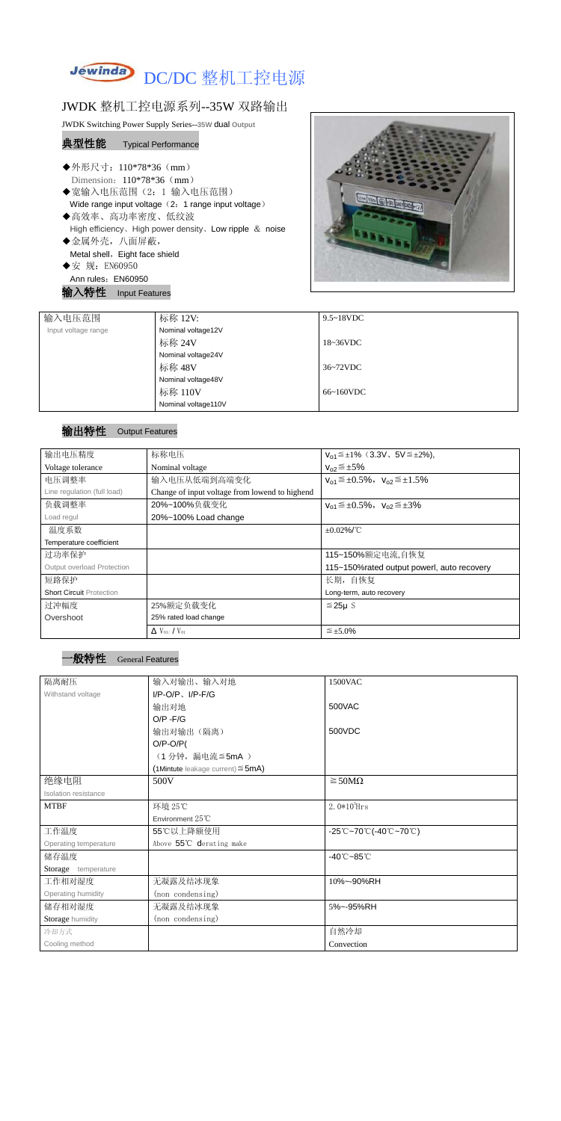

## JWDK 整机工控电源系列--35W 双路输出

JWDK Switching Power Supply Series--**35W** dual **Output**

## 典型性能 Typical Performance

- ◆外形尺寸: 110\*78\*36 (mm) Dimension: 110\*78\*36 (mm)
- ◆宽输入电压范围(2:1 输入电压范围) Wide range input voltage (2: 1 range input voltage)
- ◆高效率、高功率密度、低纹波 High efficiency、High power density、Low ripple & noise
- ◆金属外壳,八面屏蔽, Metal shell, Eight face shield ◆安 规: EN60950
- Ann rules: EN60950

输入特性 Input Features



| 输入电压范围              | 标称 12V:             | $9.5 \sim 18$ VDC |
|---------------------|---------------------|-------------------|
| Input voltage range | Nominal voltage12V  |                   |
|                     | 标称 24V              | 18~36VDC          |
|                     | Nominal voltage24V  |                   |
|                     | 标称 48V              | 36~72VDC          |
|                     | Nominal voltage48V  |                   |
|                     | 标称 110V             | $66~160$ VDC      |
|                     | Nominal voltage110V |                   |

## 输出特性 Output Features

| 输出电压精度                            | 标称电压                                           | $V_{01} \leq \pm 1\%$ (3.3V, 5V $\leq \pm 2\%$ ), |  |  |
|-----------------------------------|------------------------------------------------|---------------------------------------------------|--|--|
| Voltage tolerance                 | Nominal voltage                                | $V_{02} \leq \pm 5\%$                             |  |  |
| 电压调整率                             | 输入电压从低端到高端变化                                   | $V_{01} \leq \pm 0.5\%$ , $V_{02} \leq \pm 1.5\%$ |  |  |
| Line regulation (full load)       | Change of input voltage from lowend to highend |                                                   |  |  |
| 负载调整率                             | 20%~100%负载变化                                   | $V_{01} \leq \pm 0.5\%$ , $V_{02} \leq \pm 3\%$   |  |  |
| Load regul                        | 20%~100% Load change                           |                                                   |  |  |
| 温度系数                              |                                                | $\pm 0.02\%$ /°C                                  |  |  |
| Temperature coefficient           |                                                |                                                   |  |  |
| 过功率保护                             |                                                | 115~150%额定电流,自恢复                                  |  |  |
| <b>Output overload Protection</b> |                                                | 115~150% rated output powerl, auto recovery       |  |  |
| 短路保护                              |                                                | 长期, 自恢复                                           |  |  |
| <b>Short Circuit Protection</b>   |                                                | Long-term, auto recovery                          |  |  |
| 过冲幅度                              | 25%额定负载变化                                      | $≤25\mu$ S                                        |  |  |
| Overshoot                         | 25% rated load change                          |                                                   |  |  |
|                                   | $\Delta$ V <sub>01</sub> /V <sub>01</sub>      | $\leq \pm 5.0\%$                                  |  |  |

## $^{\rm +}$ 般特性 General Features

| 隔离耐压                        | 输入对输出、输入对地                                | 1500VAC                                                                               |
|-----------------------------|-------------------------------------------|---------------------------------------------------------------------------------------|
| Withstand voltage           | $I/P-O/P$ , $I/P-F/G$                     |                                                                                       |
|                             | 输出对地                                      | 500VAC                                                                                |
|                             | $O/P - F/G$                               |                                                                                       |
|                             | 输出对输出(隔离)                                 | 500VDC                                                                                |
|                             | $O/P-O/P($                                |                                                                                       |
|                             | (1分钟,漏电流≦5mA)                             |                                                                                       |
|                             | $(1$ Mintute leakage current) $\leq$ 5mA) |                                                                                       |
| 绝缘电阻                        | 500V                                      | $\geq$ 50M $\Omega$                                                                   |
| <b>Isolation resistance</b> |                                           |                                                                                       |
| <b>MTBF</b>                 | 环境 25℃                                    | $2.0*105$ Hrs                                                                         |
|                             | Environment 25°C                          |                                                                                       |
| 工作温度                        | 55℃以上降额使用                                 | $-25^{\circ}\text{C}-70^{\circ}\text{C}$ (-40 $^{\circ}\text{C}-70^{\circ}\text{C}$ ) |
| Operating temperature       | Above 55°C derating make                  |                                                                                       |
| 储存温度                        |                                           | $-40^{\circ}$ C $-85^{\circ}$ C                                                       |
| Storage temperature         |                                           |                                                                                       |
| 工作相对湿度                      | 无凝露及结冰现象                                  | 10%~-90%RH                                                                            |
| Operating humidity          | (non condensing)                          |                                                                                       |
| 储存相对湿度                      | 无凝露及结冰现象                                  | 5%~-95%RH                                                                             |
| Storage humidity            | (non condensing)                          |                                                                                       |
| 冷却方式                        |                                           | 自然冷却                                                                                  |
| Cooling method              |                                           | Convection                                                                            |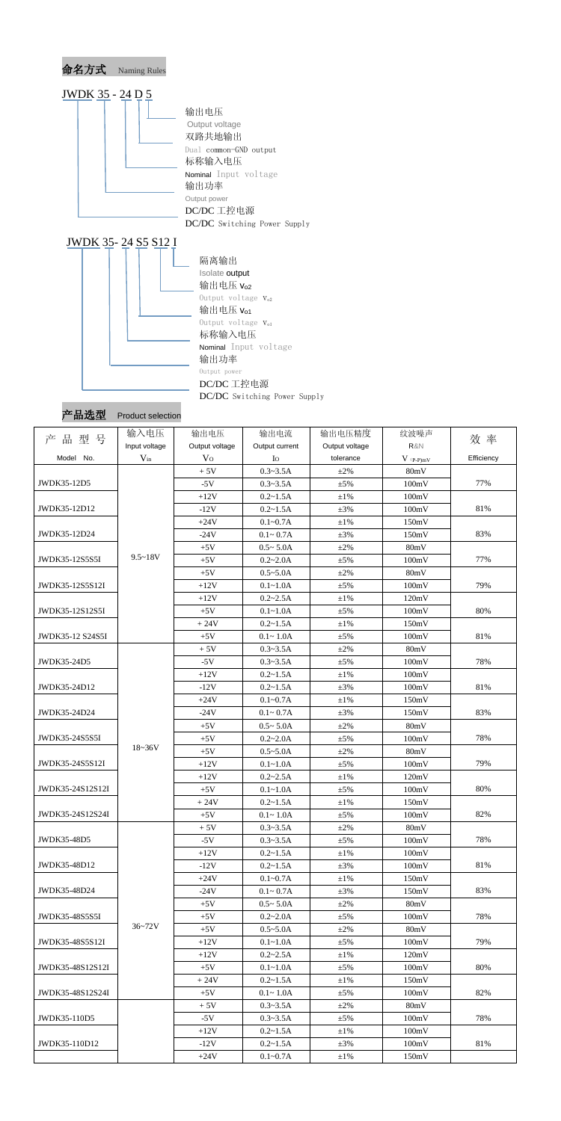

| 产品选型 | <b>Product selection</b> |
|------|--------------------------|
|      |                          |

| 产品型号             | 输入电压          | 输出电压           | 输出电流           | 输出电压精度         | 纹波噪声        | 效 率        |
|------------------|---------------|----------------|----------------|----------------|-------------|------------|
|                  | Input voltage | Output voltage | Output current | Output voltage | R&N         |            |
| Model No.        | $V_{in}$      | V <sub>O</sub> | Io             | tolerance      | $V$ (p-p)mV | Efficiency |
|                  |               | $+5V$          | $0.3 - 3.5A$   | $\pm 2\%$      | 80mV        |            |
| JWDK35-12D5      |               | $-5V$          | $0.3 - 3.5A$   | $\pm$ 5%       | 100mV       | 77%        |
|                  |               | $+12V$         | $0.2 - 1.5A$   | $\pm 1\%$      | 100mV       |            |
| JWDK35-12D12     |               | $-12V$         | $0.2 - 1.5A$   | $\pm 3\%$      | 100mV       | 81%        |
|                  |               | $+24V$         | $0.1 - 0.7A$   | $\pm 1\%$      | 150mV       |            |
| JWDK35-12D24     |               | $-24V$         | $0.1 - 0.7A$   | $\pm 3\%$      | 150mV       | 83%        |
|                  |               | $+5V$          | $0.5 - 5.0A$   | $\pm 2\%$      | 80mV        |            |
| JWDK35-12S5S5I   | $9.5 - 18V$   | $+5V$          | $0.2 - 2.0A$   | $\pm$ 5%       | 100mV       | 77%        |
|                  |               | $+5V$          | $0.5 - 5.0A$   | $\pm 2\%$      | 80mV        |            |
| JWDK35-12S5S12I  |               | $+12V$         | $0.1 - 1.0A$   | $\pm$ 5%       | 100mV       | 79%        |
|                  |               | $+12V$         | $0.2 - 2.5A$   | $\pm 1\%$      | 120mV       |            |
| JWDK35-12S12S5I  |               | $+5V$          | $0.1 - 1.0A$   | $\pm$ 5%       | 100mV       | 80%        |
|                  |               | $+24V$         | $0.2 - 1.5A$   | $\pm 1\%$      | 150mV       |            |
| JWDK35-12 S24S5I |               | $+5V$          | $0.1 - 1.0A$   | $\pm$ 5%       | 100mV       | 81%        |
|                  |               | $+5V$          | $0.3 - 3.5A$   | $\pm 2\%$      | 80mV        |            |
| JWDK35-24D5      |               | $-5V$          | $0.3 - 3.5A$   | $\pm$ 5%       | 100mV       | 78%        |
|                  |               | $+12V$         | $0.2 - 1.5A$   | $\pm 1\%$      | 100mV       |            |
| JWDK35-24D12     |               | $-12V$         | $0.2 - 1.5A$   | $\pm 3\%$      | 100mV       | 81%        |
|                  |               | $+24V$         | $0.1 - 0.7A$   | $\pm 1\%$      | 150mV       |            |
| JWDK35-24D24     |               | $-24V$         | $0.1 - 0.7A$   | $\pm 3\%$      | 150mV       | 83%        |
|                  |               | $+5V$          | $0.5 - 5.0A$   | $\pm 2\%$      | 80mV        |            |
| JWDK35-24S5S5I   |               | $+5V$          | $0.2 - 2.0A$   | $\pm$ 5%       | 100mV       | 78%        |
|                  | $18 - 36V$    | $+5V$          | $0.5 - 5.0A$   | $\pm 2\%$      | 80mV        |            |
| JWDK35-24S5S12I  |               | $+12V$         | $0.1 - 1.0A$   | $\pm$ 5%       | 100mV       | 79%        |
|                  |               | $+12V$         | $0.2 - 2.5A$   | $\pm 1\%$      | 120mV       |            |
| JWDK35-24S12S12I |               | $+5V$          | $0.1 - 1.0A$   | $\pm$ 5%       | 100mV       | 80%        |
|                  |               | $+24V$         | $0.2 - 1.5A$   | $\pm 1\%$      | 150mV       |            |
| JWDK35-24S12S24I |               | $+5V$          | $0.1 - 1.0A$   | $\pm$ 5%       | 100mV       | 82%        |
|                  |               | $+5V$          | $0.3 - 3.5A$   | $\pm 2\%$      | 80mV        |            |
| JWDK35-48D5      |               | $-5V$          | $0.3 - 3.5A$   | $\pm$ 5%       | 100mV       | 78%        |
|                  |               | $+12V$         | $0.2 - 1.5A$   | $\pm 1\%$      | 100mV       |            |
| JWDK35-48D12     |               | $-12V$         | $0.2 - 1.5A$   | $\pm 3\%$      | 100mV       | 81%        |
|                  |               | $+24V$         | $0.1 - 0.7A$   | $\pm 1\%$      | 150mV       |            |
| JWDK35-48D24     |               | $-24V$         | $0.1 - 0.7A$   | $\pm 3\%$      | 150mV       | 83%        |
|                  |               | $+5V$          | $0.5 - 5.0A$   | $\pm 2\%$      | 80mV        |            |
| JWDK35-48S5S5I   |               | $+5V$          | $0.2 - 2.0A$   | $\pm$ 5%       | 100mV       | 78%        |
|                  | $36 - 72V$    | $+5V$          | $0.5 - 5.0A$   | $\pm 2\%$      | 80mV        |            |
| JWDK35-48S5S12I  |               | $+12V$         | $0.1 - 1.0A$   | $±5\%$         | 100mV       | 79%        |
|                  |               | $+12V$         | $0.2 - 2.5A$   | $\pm 1\%$      | 120mV       |            |
| JWDK35-48S12S12I |               | $+5V$          | $0.1 - 1.0A$   | $\pm$ 5%       | 100mV       | 80%        |
|                  |               | $+24V$         | $0.2 - 1.5A$   | $\pm1\%$       | 150mV       |            |
| JWDK35-48S12S24I |               | $+5V$          | $0.1 - 1.0A$   | $\pm$ 5%       | 100mV       | 82%        |
|                  |               | $+5V$          | $0.3 - 3.5A$   | $\pm 2\%$      | 80mV        |            |
| JWDK35-110D5     |               | $-5V$          | $0.3 - 3.5A$   | $\pm$ 5%       | 100mV       | 78%        |
|                  |               | $+12V$         | $0.2 - 1.5A$   | $\pm 1\%$      | 100mV       |            |
| JWDK35-110D12    |               | $-12V$         | $0.2 - 1.5A$   | $\pm 3\%$      | 100mV       | 81%        |
|                  |               | $+24V$         | $0.1 - 0.7A$   | $\pm1\%$       | 150mV       |            |